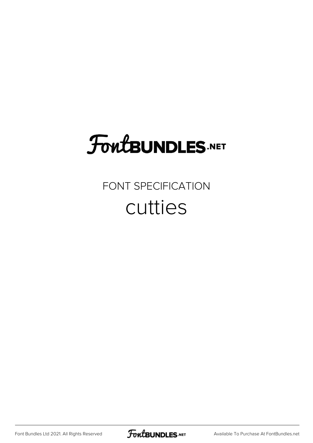# **FoutBUNDLES.NET**

#### FONT SPECIFICATION cutties

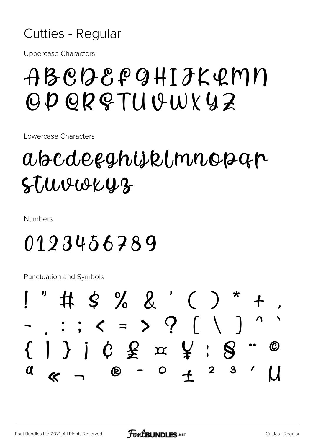#### Cutties - Regular

**Uppercase Characters** 

## ABCQECCHIJKQMN OD OR & TII ISWY 42

Lowercase Characters

### abcdeeghijklmnopan Stuvweyz

**Numbers** 

## 0123456789

**Punctuation and Symbols** 

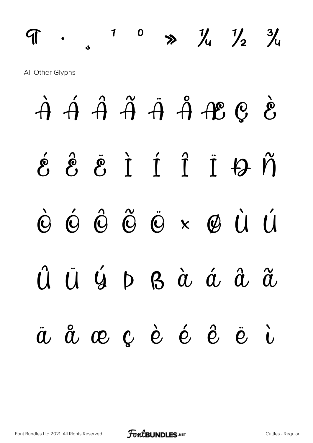# $9$  and  $1$  and  $1$  and  $1$  and  $1$  and  $1$  and  $1$  and  $1$  and  $1$  and  $1$  and  $1$  and  $1$  and  $1$  and  $1$  and  $1$  and  $1$  and  $1$  and  $1$  and  $1$  and  $1$  and  $1$  and  $1$  and  $1$  and  $1$  and  $1$  and  $1$  and  $1$  and  $1$  a All Other Glyphs

$$
\begin{array}{cccccccc}\n\dot{A} & \acute{A} & \acute{A} & \acute{A} & \acute{A} & \acute{A} & \acute{A} & \acute{A} & \acute{A} & \acute{A} & \acute{A} & \acute{A} & \acute{A} & \acute{A} & \acute{A} & \acute{B} & \acute{C} & \acute{C} & \acute{C} & \acute{C} & \acute{C} & \acute{C} & \acute{C} & \acute{C} & \acute{C} & \acute{C} & \acute{C} & \acute{C} & \acute{C} & \acute{C} & \acute{C} & \acute{C} & \acute{C} & \acute{C} & \acute{C} & \acute{C} & \acute{C} & \acute{C} & \acute{C} & \acute{C} & \acute{C} & \acute{C} & \acute{C} & \acute{C} & \acute{C} & \acute{C} & \acute{C} & \acute{C} & \acute{C} & \acute{C} & \acute{C} & \acute{C} & \acute{C} & \acute{C} & \acute{C} & \acute{C} & \acute{C} & \acute{C} & \acute{C} & \acute{C} & \acute{C} & \acute{C} & \acute{C} & \acute{C} & \acute{C} & \acute{C} & \acute{C} & \acute{C} & \acute{C} & \acute{C} & \acute{C} & \acute{C} & \acute{C} & \acute{C} & \acute{C} & \acute{C} & \acute{C} & \acute{C} & \acute{C} & \acute{C} & \acute{C} & \acute{C} & \acute{C} & \acute{C} & \acute{C} & \acute{C} & \acute{C} & \acute{C} & \acute{C} & \acute{C} & \acute{C} & \acute{C} & \acute{C} & \acute{C} &
$$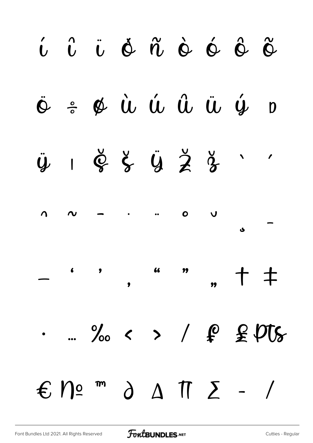